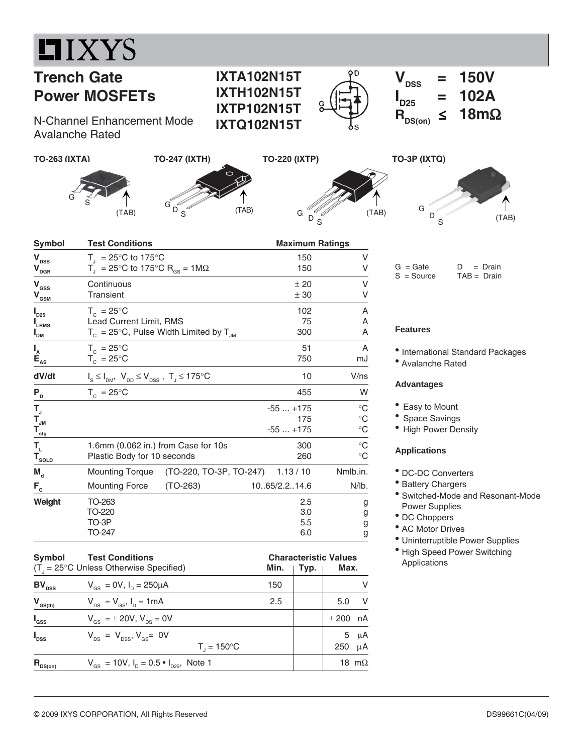

# **Trench Gate Power MOSFETs**

N-Channel Enhancement Mode Avalanche Rated





**IXTA102N15T IXTH102N15T IXTP102N15T IXTQ102N15T**





(TAB)

 $= 102A$ <br> $\leq 18m\Omega$ 

 $V_{\text{DSS}}$  = 150V

S

| <b>Symbol</b>                                                                         | <b>Test Conditions</b><br>$T_{1}$ = 25°C to 175°C<br>$T_{\text{d}}$ = 25°C to 175°C R <sub>GS</sub> = 1M $\Omega$ |                                                       |                               | <b>Maximum Ratings</b>                    |  |  |
|---------------------------------------------------------------------------------------|-------------------------------------------------------------------------------------------------------------------|-------------------------------------------------------|-------------------------------|-------------------------------------------|--|--|
| $\mathbf{V}_{\texttt{DSS}}$<br>$\mathbf{V}_{\text{DGR}}$                              |                                                                                                                   |                                                       | 150<br>150                    | V<br>٧                                    |  |  |
| $\mathbf{V}_{\rm \scriptscriptstyle GSS}$<br>$\mathbf{V}_{\underline{\text{GSM}}}$    | Continuous<br><b>Transient</b>                                                                                    |                                                       | ± 20<br>± 30                  | v<br>V                                    |  |  |
| $P_{D25}$<br><b>L</b> RMS<br>I <sub>DM</sub>                                          | $T_c = 25^{\circ}$ C<br>Lead Current Limit, RMS                                                                   | $T_c = 25^{\circ}$ C, Pulse Width Limited by $T_{JM}$ | 102<br>75<br>300              | A<br>Α<br>Α                               |  |  |
| $I_{A}$<br>$\dot{\mathbf{E}}_{\underline{AS}}$                                        | $T_c = 25^{\circ}C$<br>$T_c = 25^{\circ}C$                                                                        |                                                       | 51<br>750                     | A<br>mJ                                   |  |  |
| dV/dt                                                                                 | $I_s \leq I_{DM}$ , $V_{DD} \leq V_{DSS}$ , $T_J \leq 175^{\circ}C$                                               |                                                       | 10                            | $V$ /ns                                   |  |  |
| $P_{D}$                                                                               | $T_c = 25^{\circ}$ C                                                                                              |                                                       | 455                           | W                                         |  |  |
| $T_{\rm J}$<br>$\mathbf{T}_{_{\mathsf{JM}}}$<br>$\mathbf{T}_{\underline{\text{stg}}}$ |                                                                                                                   |                                                       | $-55+175$<br>175<br>$-55+175$ | $^{\circ}C$<br>$^{\circ}C$<br>$^{\circ}C$ |  |  |
| Т,<br>$T_{\text{sOLD}}$                                                               | 1.6mm (0.062 in.) from Case for 10s<br>Plastic Body for 10 seconds                                                |                                                       | 300<br>260                    | $^{\circ}C$<br>$^{\circ}C$                |  |  |
| $M_{\rm d}$                                                                           | <b>Mounting Torque</b>                                                                                            | (TO-220, TO-3P, TO-247) 1.13 / 10                     |                               | Nmlb.in.                                  |  |  |
| $F_c$                                                                                 | <b>Mounting Force</b>                                                                                             | $(TO-263)$                                            | 10.65/2.2.14.6                | N/lb.                                     |  |  |
| Weight                                                                                | TO-263<br>TO-220<br>TO-3P<br>TO-247                                                                               |                                                       | 2.5<br>3.0<br>5.5<br>6.0      | g<br>g<br>g<br>g                          |  |  |

#### Symbol Test Conditions **Characteristic Values** (T<sub>J</sub> = 25°C Unless Otherwise Specified) **Min.** | **Typ.** | **Max. BV**<sub>DSS</sub>  $V_{GS} = 0V$ ,  $I_D = 250 \mu A$  150  $V$  $V_{\text{as}(th)}$   $V_{\text{DS}} = V_{\text{GS}}$ ,  $I_{\text{D}} = 1 \text{ mA}$  2.5 5.0 V **I**  $V_{GS} = \pm 20V$ ,  $V_{DS} = 0V$   $\pm 200$  nA **I**  $V_{DS} = V_{DSS}$ ,  $V_{GS} = 0V$ <br> **T**<sub>1</sub> = 150°C<br> **D** 5 μA<br> **D** 250 μA  $\mathsf{T}_\mathsf{J}$  $T_1 = 150$ °C **R**<sub>DS(on)</sub>  $V_{GS} = 10V$ ,  $I_D = 0.5 \cdot I_{D25}$ , Note 1 18 mΩ

 $I_{D25}$ 

 $R_{DS(on)}$ 

#### $G = Gate$   $D = Drain$ S = Source TAB = Drain

### **Features**

• International Standard Packages

• Avalanche Rated

#### **Advantages**

- Easy to Mount
- Space Savings
- High Power Density

### **Applications**

- DC-DC Converters
- Battery Chargers
- Switched-Mode and Resonant-Mode Power Supplies
- DC Choppers
- AC Motor Drives
- Uninterruptible Power Supplies
- High Speed Power Switching Applications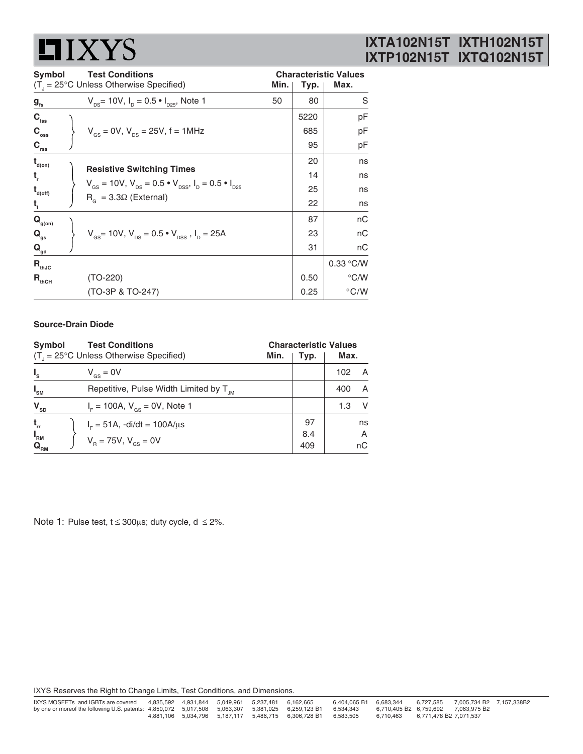# **LIXYS**

# **IXTA102N15T IXTH102N15T IXTP102N15T IXTQ102N15T**

| Symbol                      |  | <b>Test Conditions</b>                                                                                                                                                                    |      | <b>Characteristic Values</b> |               |  |
|-----------------------------|--|-------------------------------------------------------------------------------------------------------------------------------------------------------------------------------------------|------|------------------------------|---------------|--|
|                             |  | $(T_{\text{I}} = 25^{\circ} \text{C}$ Unless Otherwise Specified)                                                                                                                         | Min. | Typ.                         | Max.          |  |
| $g_{\rm fs}$                |  | $V_{DS}$ = 10V, $I_D$ = 0.5 $\bullet$ $I_{D25}$ , Note 1                                                                                                                                  | 50   | 80                           | S             |  |
| $C_{\text{iss}}$            |  |                                                                                                                                                                                           |      | 5220                         | pF            |  |
| $C_{\rm oss}$               |  | $V_{\text{gs}} = 0V$ , $V_{\text{ps}} = 25V$ , f = 1MHz                                                                                                                                   |      | 685                          | pF            |  |
| $C_{rss}$                   |  |                                                                                                                                                                                           |      | 95                           | pF            |  |
| $t_{\text{\tiny d(0n)}}$    |  | <b>Resistive Switching Times</b><br>$V_{\text{gs}} = 10V$ , $V_{\text{ps}} = 0.5 \cdot V_{\text{pss}}$ , $I_{\text{p}} = 0.5 \cdot I_{\text{pss}}$<br>$R_{\alpha} = 3.3\Omega$ (External) |      | 20                           | ns            |  |
| t,                          |  |                                                                                                                                                                                           |      | 14                           | ns            |  |
| $t_{\text{\tiny d(off)}}$   |  |                                                                                                                                                                                           |      | 25                           | ns            |  |
| $\mathbf{t}_{\rm f}$        |  |                                                                                                                                                                                           |      | 22                           | ns            |  |
| $\mathbf{Q}_{\text{g(on)}}$ |  |                                                                                                                                                                                           |      | 87                           | nC            |  |
| $\mathbf{Q}_{\mathrm{gs}}$  |  | $V_{\text{gs}}$ = 10V, $V_{\text{ps}}$ = 0.5 $\cdot$ $V_{\text{pss}}$ , $I_{\text{p}}$ = 25A                                                                                              |      | 23                           | nC            |  |
| $\mathbf{Q}_{\text{gd}}$    |  |                                                                                                                                                                                           |      | 31                           | nС            |  |
| $R_{thJC}$                  |  |                                                                                                                                                                                           |      |                              | $0.33$ °C/W   |  |
| $R_{thCH}$                  |  | $(TO-220)$                                                                                                                                                                                |      | 0.50                         | $\degree$ C/W |  |
|                             |  | (TO-3P & TO-247)                                                                                                                                                                          |      | 0.25                         | $\degree$ C/W |  |

#### **Source-Drain Diode**

| Symbol                                             | <b>Test Conditions</b>                             |      |            | <b>Characteristic Values</b> |         |  |
|----------------------------------------------------|----------------------------------------------------|------|------------|------------------------------|---------|--|
| $(T_{1} = 25^{\circ}C$ Unless Otherwise Specified) |                                                    | Min. | Typ.       | Max.                         |         |  |
| $I_{s}$                                            | $V_{\text{gs}} = 0V$                               |      |            | 102                          | A       |  |
| $I_{\rm SM}$                                       | Repetitive, Pulse Width Limited by T <sub>JM</sub> |      |            | 400                          | A       |  |
| $\mathbf{V}_{\text{SD}}$                           | $I_{F}$ = 100A, $V_{GS}$ = 0V, Note 1              |      |            | 1.3                          | V       |  |
| $t_{rr}$                                           | $I_{F} = 51A$ , -di/dt = 100A/ $\mu$ s             |      | 97         |                              | ns      |  |
| $I_{\rm RM}$<br>${\bf Q}_{_{\rm RM}}$              | $V_{\rm B} = 75V, V_{\rm cs} = 0V$                 |      | 8.4<br>409 |                              | A<br>пC |  |

Note 1: Pulse test,  $t \le 300\mu s$ ; duty cycle,  $d \le 2\%$ .

IXYS Reserves the Right to Change Limits, Test Conditions, and Dimensions.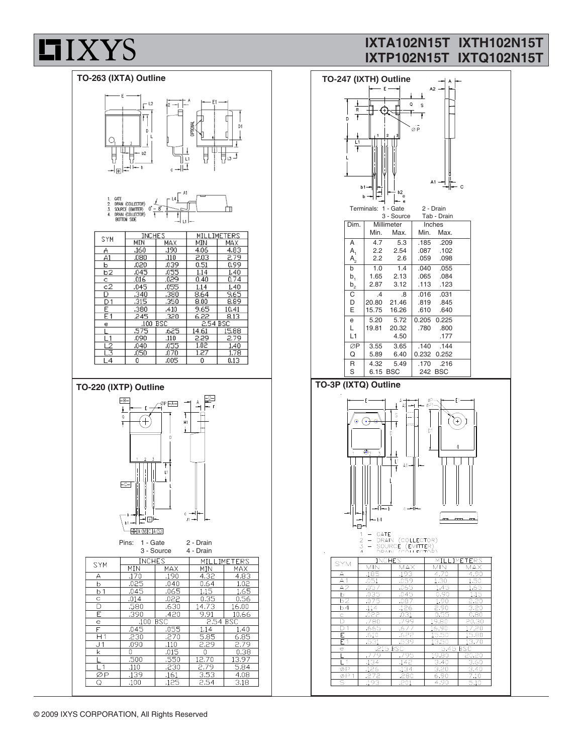

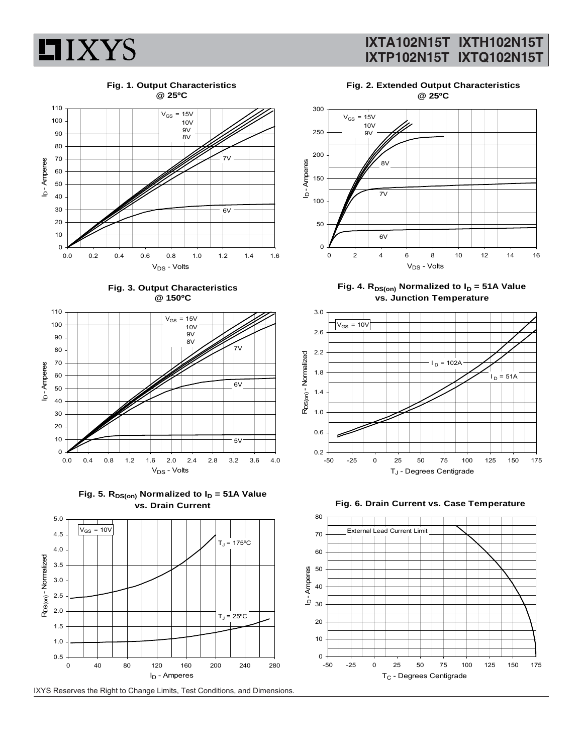

**Fig. 1. Output Characteristics @ 25ºC**











**Fig. 2. Extended Output Characteristics @ 25ºC**



Fig. 4. R<sub>DS(on)</sub> Normalized to I<sub>D</sub> = 51A Value **vs. Junction Temperature**





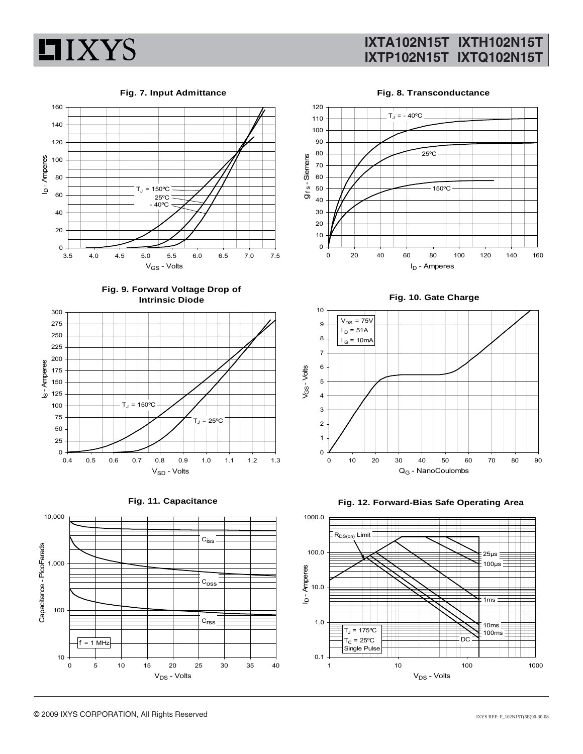

#### **Fig. 7. Input Admittance**



**Fig. 9. Forward Voltage Drop of Intrinsic Diode**







**Fig. 8. Transconductance**



**Fig. 10. Gate Charge**



**Fig. 12. Forward-Bias Safe Operating Area**

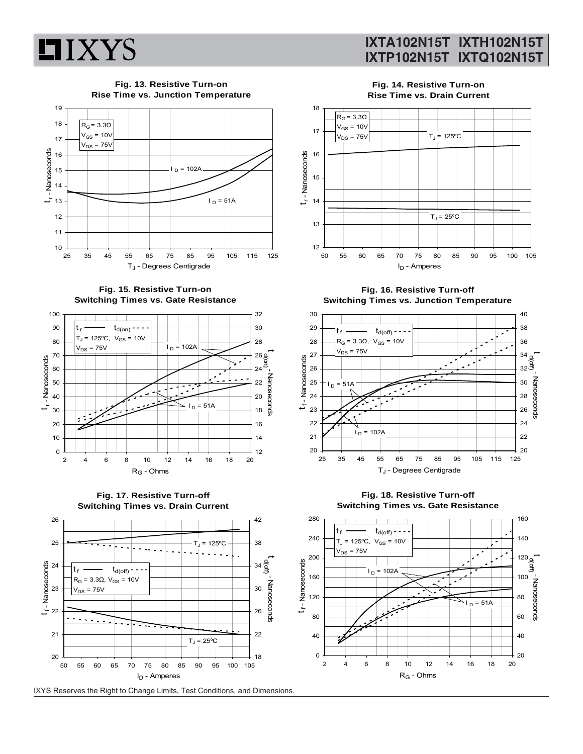

**Fig. 13. Resistive Turn-on Rise Time vs. Junction Temperature** 19  $R$ <sub>G</sub> = 3.3Ω  $V_{GS}$  = 10 $V$  $V_{DS}$  = 75V



**Fig. 15. Resistive Turn-on Switching Times vs. Gate Resistance**







IXYS Reserves the Right to Change Limits, Test Conditions, and Dimensions.

**Fig. 14. Resistive Turn-on Rise Time vs. Drain Current**



**Fig. 16. Resistive Turn-off Switching Times vs. Junction Temperature**



**Fig. 18. Resistive Turn-off Switching Times vs. Gate Resistance**